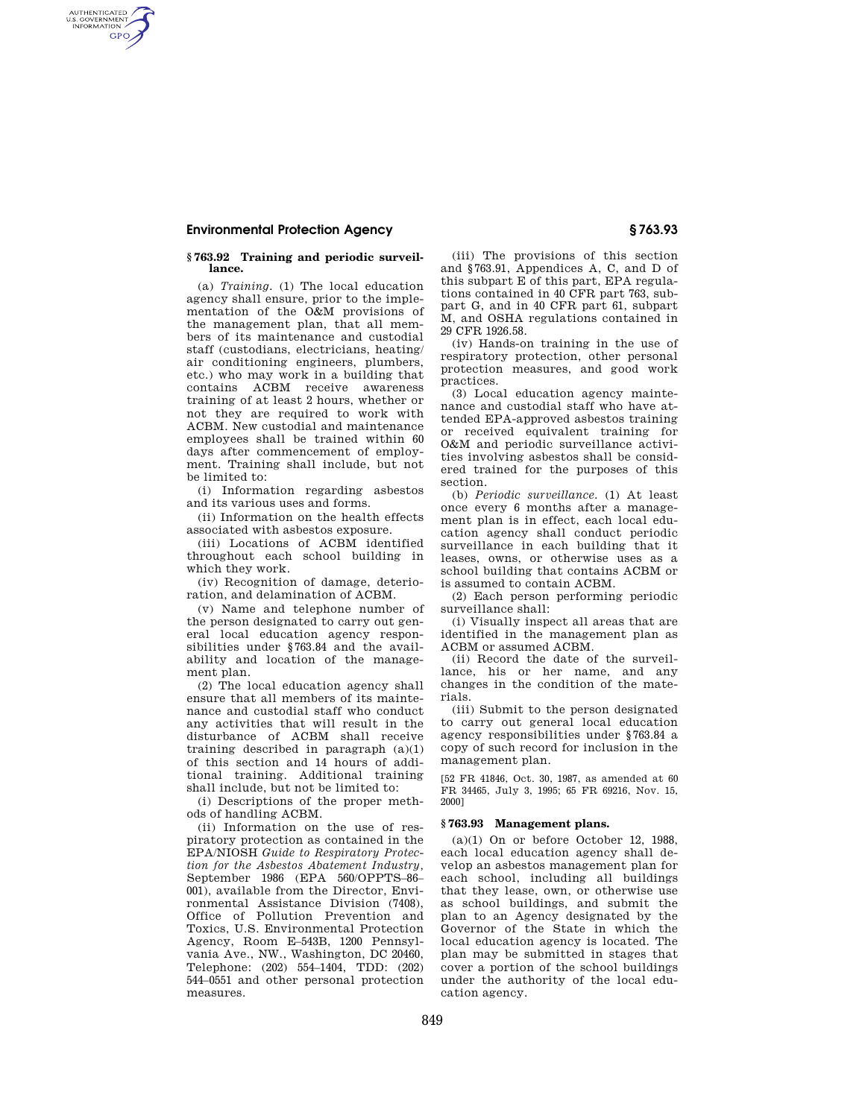# **Environmental Protection Agency § 763.93**

AUTHENTICATED<br>U.S. GOVERNMENT<br>INFORMATION **GPO** 

#### **§ 763.92 Training and periodic surveillance.**

(a) *Training.* (1) The local education agency shall ensure, prior to the implementation of the O&M provisions of the management plan, that all members of its maintenance and custodial staff (custodians, electricians, heating/ air conditioning engineers, plumbers, etc.) who may work in a building that contains ACBM receive awareness training of at least 2 hours, whether or not they are required to work with ACBM. New custodial and maintenance employees shall be trained within 60 days after commencement of employment. Training shall include, but not be limited to:

(i) Information regarding asbestos and its various uses and forms.

(ii) Information on the health effects associated with asbestos exposure.

(iii) Locations of ACBM identified throughout each school building in which they work.

(iv) Recognition of damage, deterioration, and delamination of ACBM.

(v) Name and telephone number of the person designated to carry out general local education agency responsibilities under §763.84 and the availability and location of the management plan.

(2) The local education agency shall ensure that all members of its maintenance and custodial staff who conduct any activities that will result in the disturbance of ACBM shall receive training described in paragraph  $(a)(1)$ of this section and 14 hours of additional training. Additional training shall include, but not be limited to:

(i) Descriptions of the proper methods of handling ACBM.

(ii) Information on the use of respiratory protection as contained in the EPA/NIOSH *Guide to Respiratory Protection for the Asbestos Abatement Industry,*  September 1986 (EPA 560/OPPTS–86– 001), available from the Director, Environmental Assistance Division (7408), Office of Pollution Prevention and Toxics, U.S. Environmental Protection Agency, Room E–543B, 1200 Pennsylvania Ave., NW., Washington, DC 20460, Telephone: (202) 554–1404, TDD: (202) 544–0551 and other personal protection measures.

(iii) The provisions of this section and §763.91, Appendices A, C, and D of this subpart E of this part, EPA regulations contained in 40 CFR part 763, subpart G, and in 40 CFR part 61, subpart M, and OSHA regulations contained in 29 CFR 1926.58.

(iv) Hands-on training in the use of respiratory protection, other personal protection measures, and good work practices.

(3) Local education agency maintenance and custodial staff who have attended EPA-approved asbestos training or received equivalent training for O&M and periodic surveillance activities involving asbestos shall be considered trained for the purposes of this section.

(b) *Periodic surveillance.* (1) At least once every 6 months after a management plan is in effect, each local education agency shall conduct periodic surveillance in each building that it leases, owns, or otherwise uses as a school building that contains ACBM or is assumed to contain ACBM.

(2) Each person performing periodic surveillance shall:

(i) Visually inspect all areas that are identified in the management plan as ACBM or assumed ACBM.

(ii) Record the date of the surveillance, his or her name, and any changes in the condition of the materials.

(iii) Submit to the person designated to carry out general local education agency responsibilities under §763.84 a copy of such record for inclusion in the management plan.

[52 FR 41846, Oct. 30, 1987, as amended at 60 FR 34465, July 3, 1995; 65 FR 69216, Nov. 15, 2000]

### **§ 763.93 Management plans.**

 $(a)(1)$  On or before October 12, 1988. each local education agency shall develop an asbestos management plan for each school, including all buildings that they lease, own, or otherwise use as school buildings, and submit the plan to an Agency designated by the Governor of the State in which the local education agency is located. The plan may be submitted in stages that cover a portion of the school buildings under the authority of the local education agency.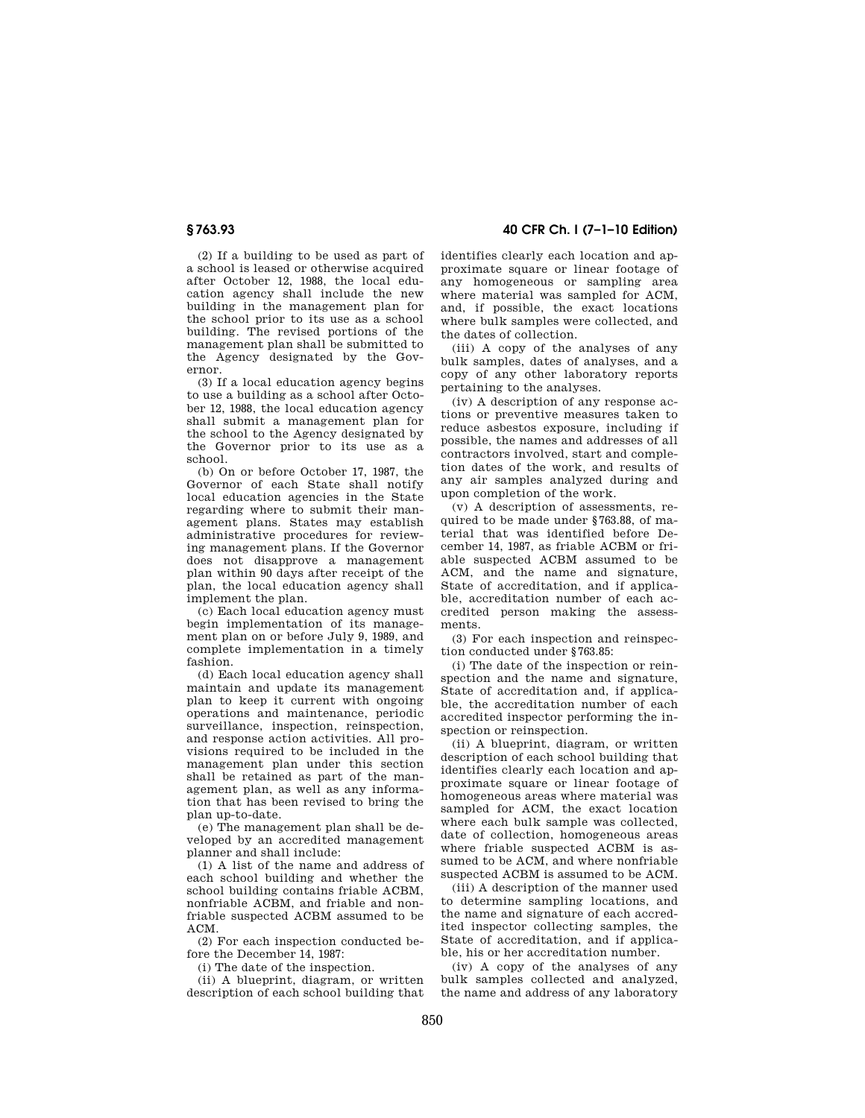(2) If a building to be used as part of a school is leased or otherwise acquired after October 12, 1988, the local education agency shall include the new building in the management plan for the school prior to its use as a school building. The revised portions of the management plan shall be submitted to the Agency designated by the Governor.

(3) If a local education agency begins to use a building as a school after October 12, 1988, the local education agency shall submit a management plan for the school to the Agency designated by the Governor prior to its use as a school.

(b) On or before October 17, 1987, the Governor of each State shall notify local education agencies in the State regarding where to submit their management plans. States may establish administrative procedures for reviewing management plans. If the Governor does not disapprove a management plan within 90 days after receipt of the plan, the local education agency shall implement the plan.

(c) Each local education agency must begin implementation of its management plan on or before July 9, 1989, and complete implementation in a timely fashion.

(d) Each local education agency shall maintain and update its management plan to keep it current with ongoing operations and maintenance, periodic surveillance, inspection, reinspection, and response action activities. All provisions required to be included in the management plan under this section shall be retained as part of the management plan, as well as any information that has been revised to bring the plan up-to-date.

(e) The management plan shall be developed by an accredited management planner and shall include:

(1) A list of the name and address of each school building and whether the school building contains friable ACBM, nonfriable ACBM, and friable and nonfriable suspected ACBM assumed to be ACM.

(2) For each inspection conducted before the December 14, 1987:

(i) The date of the inspection.

(ii) A blueprint, diagram, or written description of each school building that

**§ 763.93 40 CFR Ch. I (7–1–10 Edition)** 

identifies clearly each location and approximate square or linear footage of any homogeneous or sampling area where material was sampled for ACM, and, if possible, the exact locations where bulk samples were collected, and the dates of collection.

(iii) A copy of the analyses of any bulk samples, dates of analyses, and a copy of any other laboratory reports pertaining to the analyses.

(iv) A description of any response actions or preventive measures taken to reduce asbestos exposure, including if possible, the names and addresses of all contractors involved, start and completion dates of the work, and results of any air samples analyzed during and upon completion of the work.

(v) A description of assessments, required to be made under §763.88, of material that was identified before December 14, 1987, as friable ACBM or friable suspected ACBM assumed to be ACM, and the name and signature, State of accreditation, and if applicable, accreditation number of each accredited person making the assessments.

(3) For each inspection and reinspection conducted under §763.85:

(i) The date of the inspection or reinspection and the name and signature, State of accreditation and, if applicable, the accreditation number of each accredited inspector performing the inspection or reinspection.

(ii) A blueprint, diagram, or written description of each school building that identifies clearly each location and approximate square or linear footage of homogeneous areas where material was sampled for ACM, the exact location where each bulk sample was collected, date of collection, homogeneous areas where friable suspected ACBM is assumed to be ACM, and where nonfriable suspected ACBM is assumed to be ACM.

(iii) A description of the manner used to determine sampling locations, and the name and signature of each accredited inspector collecting samples, the State of accreditation, and if applicable, his or her accreditation number.

(iv) A copy of the analyses of any bulk samples collected and analyzed, the name and address of any laboratory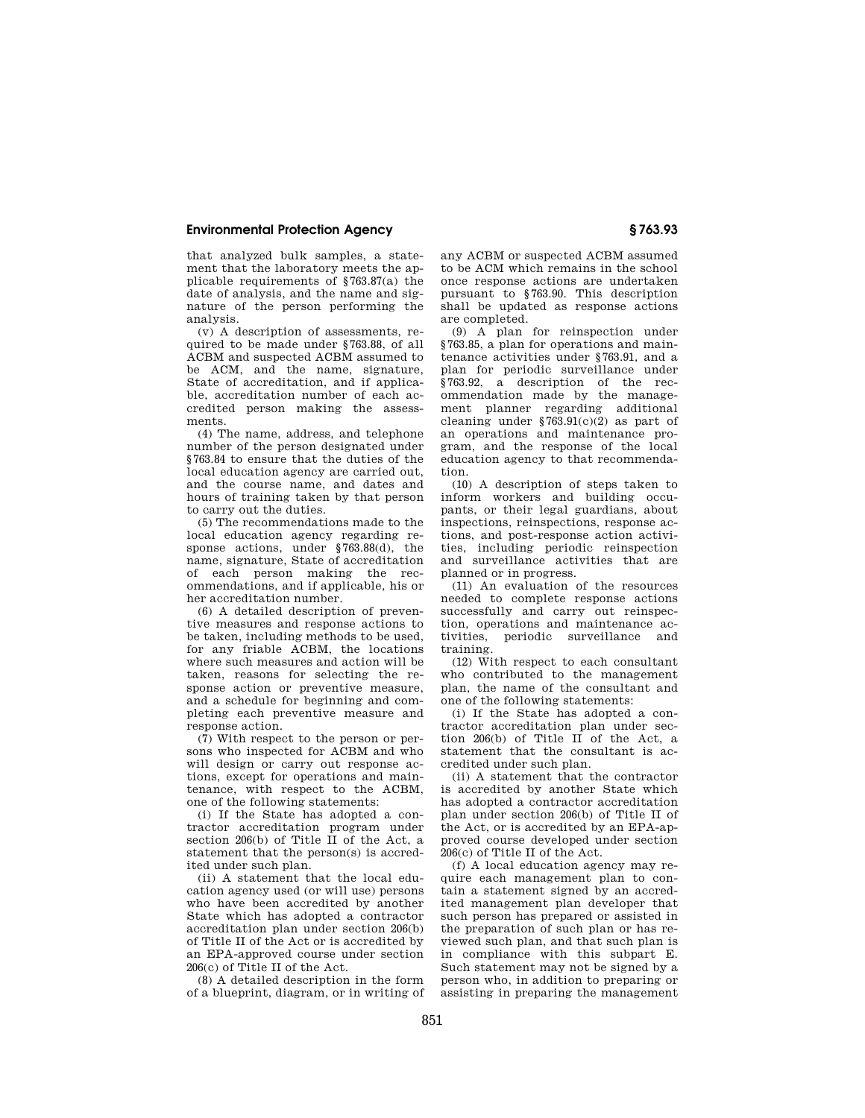## **Environmental Protection Agency § 763.93**

that analyzed bulk samples, a statement that the laboratory meets the applicable requirements of §763.87(a) the date of analysis, and the name and signature of the person performing the analysis.

(v) A description of assessments, required to be made under §763.88, of all ACBM and suspected ACBM assumed to be ACM, and the name, signature, State of accreditation, and if applicable, accreditation number of each accredited person making the assessments.

(4) The name, address, and telephone number of the person designated under §763.84 to ensure that the duties of the local education agency are carried out, and the course name, and dates and hours of training taken by that person to carry out the duties.

(5) The recommendations made to the local education agency regarding response actions, under §763.88(d), the name, signature, State of accreditation of each person making the recommendations, and if applicable, his or her accreditation number.

(6) A detailed description of preventive measures and response actions to be taken, including methods to be used, for any friable ACBM, the locations where such measures and action will be taken, reasons for selecting the response action or preventive measure, and a schedule for beginning and completing each preventive measure and response action.

(7) With respect to the person or persons who inspected for ACBM and who will design or carry out response actions, except for operations and maintenance, with respect to the ACBM, one of the following statements:

(i) If the State has adopted a contractor accreditation program under section 206(b) of Title  $\Pi$  of the Act, a statement that the person(s) is accredited under such plan.

(ii) A statement that the local education agency used (or will use) persons who have been accredited by another State which has adopted a contractor accreditation plan under section 206(b) of Title II of the Act or is accredited by an EPA-approved course under section 206(c) of Title II of the Act.

(8) A detailed description in the form of a blueprint, diagram, or in writing of any ACBM or suspected ACBM assumed to be ACM which remains in the school once response actions are undertaken pursuant to §763.90. This description shall be updated as response actions are completed.

(9) A plan for reinspection under §763.85, a plan for operations and maintenance activities under §763.91, and a plan for periodic surveillance under §763.92, a description of the recommendation made by the management planner regarding additional cleaning under §763.91(c)(2) as part of an operations and maintenance program, and the response of the local education agency to that recommendation.

(10) A description of steps taken to inform workers and building occupants, or their legal guardians, about inspections, reinspections, response actions, and post-response action activities, including periodic reinspection and surveillance activities that are planned or in progress.

(11) An evaluation of the resources needed to complete response actions successfully and carry out reinspection, operations and maintenance activities, periodic surveillance and training.

(12) With respect to each consultant who contributed to the management plan, the name of the consultant and one of the following statements:

(i) If the State has adopted a contractor accreditation plan under section 206(b) of Title II of the Act, a statement that the consultant is accredited under such plan.

(ii) A statement that the contractor is accredited by another State which has adopted a contractor accreditation plan under section 206(b) of Title II of the Act, or is accredited by an EPA-approved course developed under section 206(c) of Title II of the Act.

(f) A local education agency may require each management plan to contain a statement signed by an accredited management plan developer that such person has prepared or assisted in the preparation of such plan or has reviewed such plan, and that such plan is in compliance with this subpart E. Such statement may not be signed by a person who, in addition to preparing or assisting in preparing the management